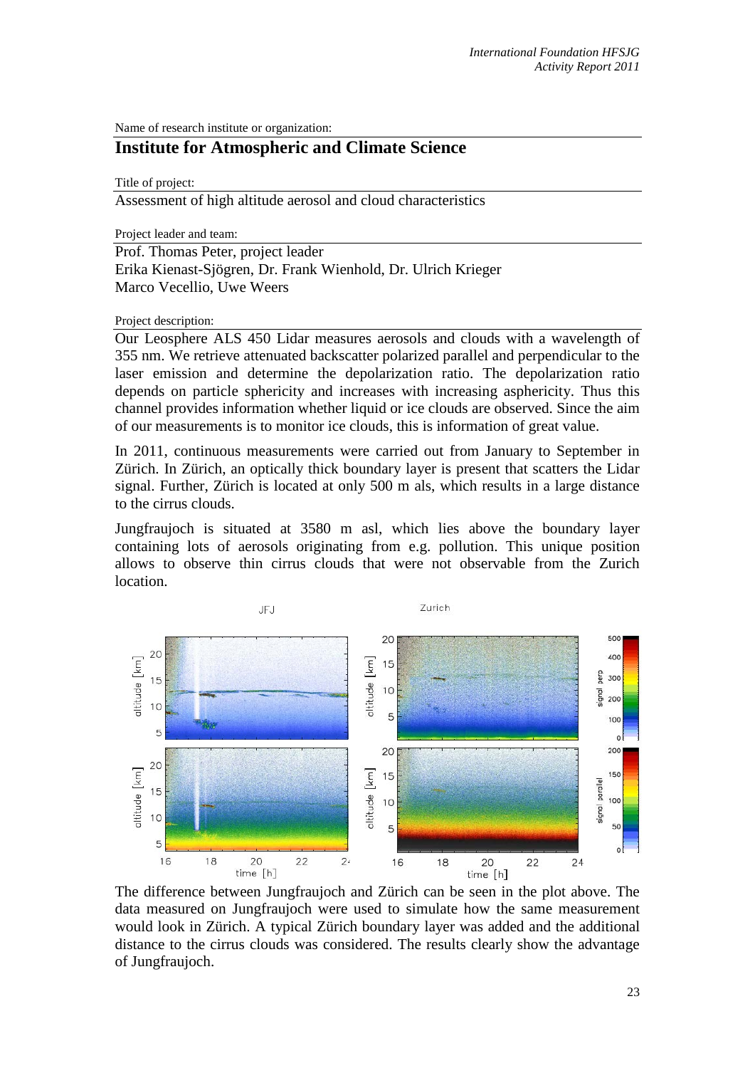Name of research institute or organization:

## **Institute for Atmospheric and Climate Science**

Title of project:

Assessment of high altitude aerosol and cloud characteristics

Project leader and team:

Prof. Thomas Peter, project leader Erika Kienast-Sjögren, Dr. Frank Wienhold, Dr. Ulrich Krieger Marco Vecellio, Uwe Weers

Project description:

Our Leosphere ALS 450 Lidar measures aerosols and clouds with a wavelength of 355 nm. We retrieve attenuated backscatter polarized parallel and perpendicular to the laser emission and determine the depolarization ratio. The depolarization ratio depends on particle sphericity and increases with increasing asphericity. Thus this channel provides information whether liquid or ice clouds are observed. Since the aim of our measurements is to monitor ice clouds, this is information of great value.

In 2011, continuous measurements were carried out from January to September in Zürich. In Zürich, an optically thick boundary layer is present that scatters the Lidar signal. Further, Zürich is located at only 500 m als, which results in a large distance to the cirrus clouds.

Jungfraujoch is situated at 3580 m asl, which lies above the boundary layer containing lots of aerosols originating from e.g. pollution. This unique position allows to observe thin cirrus clouds that were not observable from the Zurich location.



The difference between Jungfraujoch and Zürich can be seen in the plot above. The data measured on Jungfraujoch were used to simulate how the same measurement would look in Zürich. A typical Zürich boundary layer was added and the additional distance to the cirrus clouds was considered. The results clearly show the advantage of Jungfraujoch.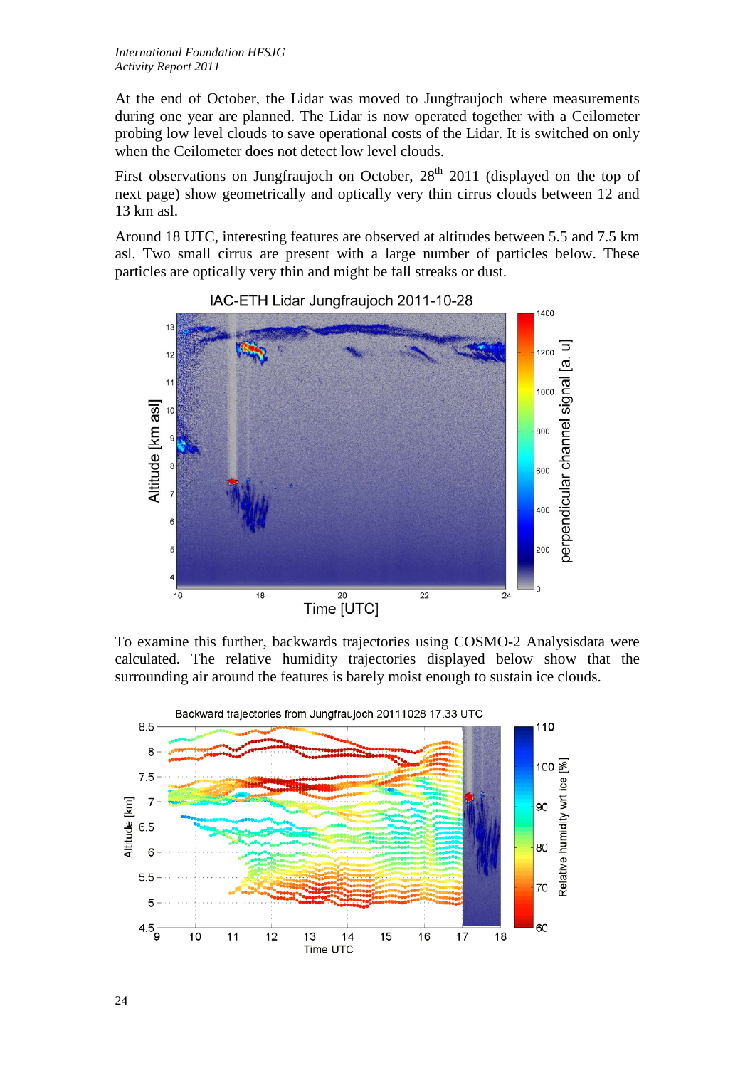At the end of October, the Lidar was moved to Jungfraujoch where measurements during one year are planned. The Lidar is now operated together with a Ceilometer probing low level clouds to save operational costs of the Lidar. It is switched on only when the Ceilometer does not detect low level clouds.

First observations on Jungfraujoch on October,  $28<sup>th</sup>$  2011 (displayed on the top of next page) show geometrically and optically very thin cirrus clouds between 12 and 13 km asl.

Around 18 UTC, interesting features are observed at altitudes between 5.5 and 7.5 km asl. Two small cirrus are present with a large number of particles below. These particles are optically very thin and might be fall streaks or dust.



To examine this further, backwards trajectories using COSMO-2 Analysisdata were calculated. The relative humidity trajectories displayed below show that the surrounding air around the features is barely moist enough to sustain ice clouds.



IAC-ETH Lidar Jungfraujoch 2011-10-28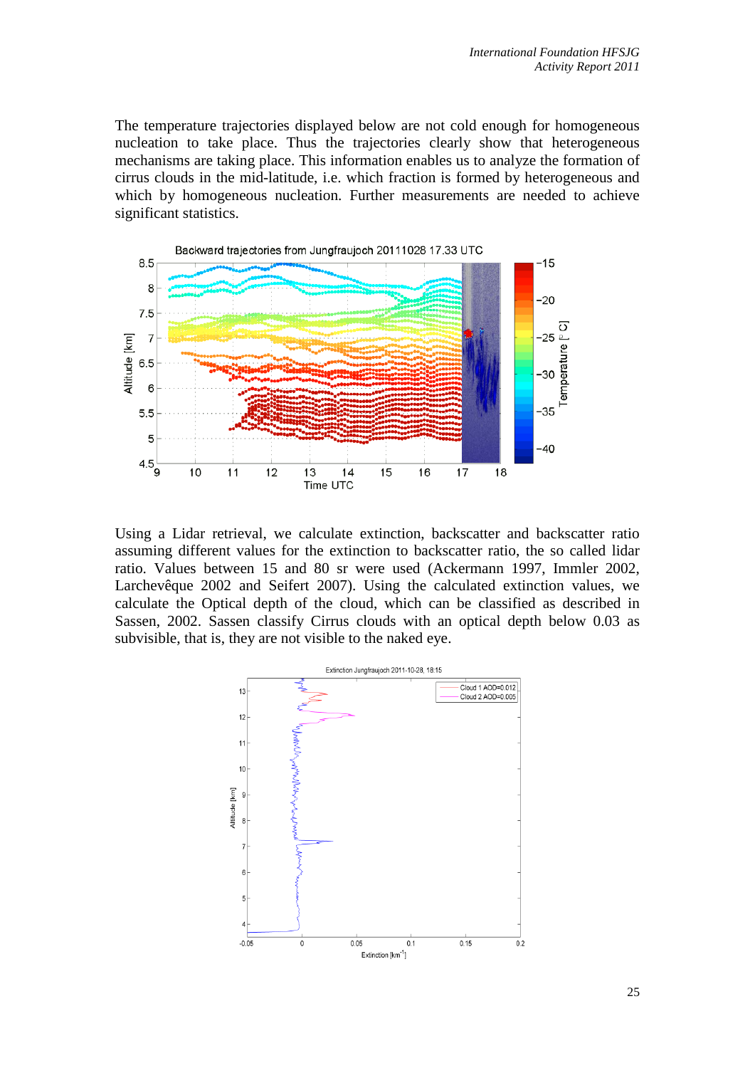The temperature trajectories displayed below are not cold enough for homogeneous nucleation to take place. Thus the trajectories clearly show that heterogeneous mechanisms are taking place. This information enables us to analyze the formation of cirrus clouds in the mid-latitude, i.e. which fraction is formed by heterogeneous and which by homogeneous nucleation. Further measurements are needed to achieve significant statistics.



Using a Lidar retrieval, we calculate extinction, backscatter and backscatter ratio assuming different values for the extinction to backscatter ratio, the so called lidar ratio. Values between 15 and 80 sr were used (Ackermann 1997, Immler 2002, Larchevêque 2002 and Seifert 2007). Using the calculated extinction values, we calculate the Optical depth of the cloud, which can be classified as described in Sassen, 2002. Sassen classify Cirrus clouds with an optical depth below 0.03 as subvisible, that is, they are not visible to the naked eye.